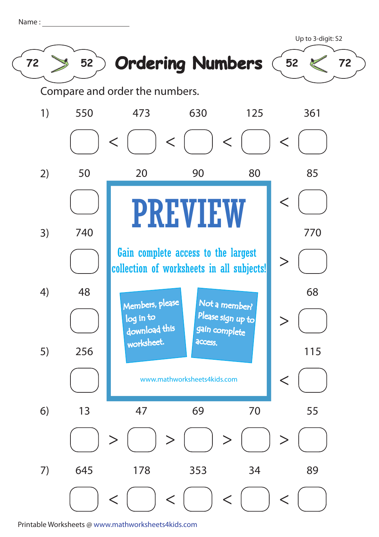| Name |  |  |  |
|------|--|--|--|
|      |  |  |  |